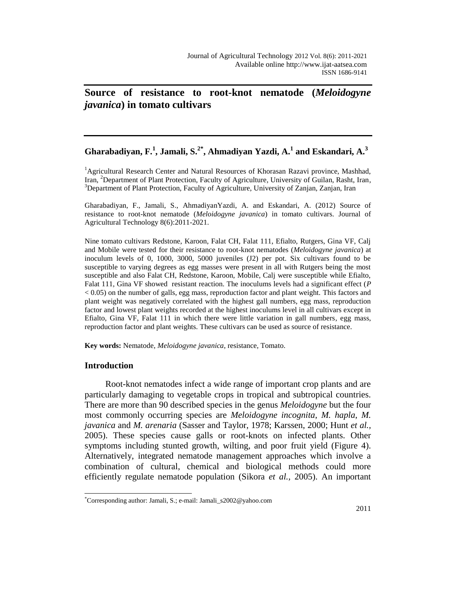# **Source of resistance to root-knot nematode (***Meloidogyne javanica***) in tomato cultivars**

# **Gharabadiyan, F.<sup>1</sup> , Jamali, S.2\* , Ahmadiyan Yazdi, A.<sup>1</sup> and Eskandari, A.<sup>3</sup>**

<sup>1</sup>Agricultural Research Center and Natural Resources of Khorasan Razavi province, Mashhad, Iran, <sup>2</sup>Department of Plant Protection, Faculty of Agriculture, University of Guilan, Rasht, Iran, <sup>3</sup>Department of Plant Protection, Faculty of Agriculture, University of Zanjan, Zanjan, Iran

Gharabadiyan, F., Jamali, S., AhmadiyanYazdi, A. and Eskandari, A. (2012) Source of resistance to root-knot nematode (*Meloidogyne javanica*) in tomato cultivars. Journal of Agricultural Technology 8(6):2011-2021.

Nine tomato cultivars Redstone, Karoon, Falat CH, Falat 111, Efialto, Rutgers, Gina VF, Calj and Mobile were tested for their resistance to root-knot nematodes (*Meloidogyne javanica*) at inoculum levels of 0, 1000, 3000, 5000 juveniles (J2) per pot. Six cultivars found to be susceptible to varying degrees as egg masses were present in all with Rutgers being the most susceptible and also Falat CH, Redstone, Karoon, Mobile, Calj were susceptible while Efialto, Falat 111, Gina VF showed resistant reaction. The inoculums levels had a significant effect (*P*  < 0.05) on the number of galls, egg mass, reproduction factor and plant weight. This factors and plant weight was negatively correlated with the highest gall numbers, egg mass, reproduction factor and lowest plant weights recorded at the highest inoculums level in all cultivars except in Efialto, Gina VF, Falat 111 in which there were little variation in gall numbers, egg mass, reproduction factor and plant weights. These cultivars can be used as source of resistance.

**Key words:** Nematode, *Meloidogyne javanica*, resistance, Tomato.

## **Introduction**

Root-knot nematodes infect a wide range of important crop plants and are particularly damaging to vegetable crops in tropical and subtropical countries. There are more than 90 described species in the genus *Meloidogyne* but the four most commonly occurring species are *Meloidogyne incognita*, *M. hapla*, *M. javanica* and *M. arenaria* (Sasser and Taylor, 1978; Karssen, 2000; Hunt *et al.,*  2005). These species cause galls or root-knots on infected plants. Other symptoms including stunted growth, wilting, and poor fruit yield (Figure 4). Alternatively, integrated nematode management approaches which involve a combination of cultural, chemical and biological methods could more efficiently regulate nematode population (Sikora *et al.,* 2005). An important

 $\overline{a}$ \*Corresponding author: Jamali, S.; e-mail: Jamali\_s2002@yahoo.com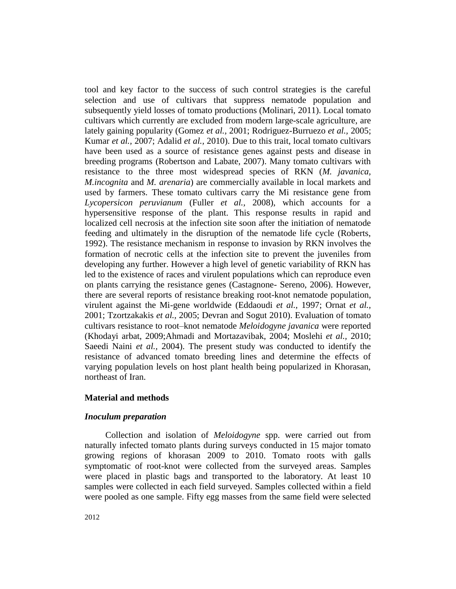tool and key factor to the success of such control strategies is the careful selection and use of cultivars that suppress nematode population and subsequently yield losses of tomato productions (Molinari, 2011). Local tomato cultivars which currently are excluded from modern large-scale agriculture, are lately gaining popularity (Gomez *et al.,* 2001; Rodriguez-Burruezo *et al.,* 2005; Kumar *et al.,* 2007; Adalid *et al.,* 2010). Due to this trait, local tomato cultivars have been used as a source of resistance genes against pests and disease in breeding programs (Robertson and Labate, 2007). Many tomato cultivars with resistance to the three most widespread species of RKN (*M. javanica, M.incognita* and *M. arenaria*) are commercially available in local markets and used by farmers. These tomato cultivars carry the Mi resistance gene from *Lycopersicon peruvianum* (Fuller *et al.,* 2008), which accounts for a hypersensitive response of the plant. This response results in rapid and localized cell necrosis at the infection site soon after the initiation of nematode feeding and ultimately in the disruption of the nematode life cycle (Roberts, 1992). The resistance mechanism in response to invasion by RKN involves the formation of necrotic cells at the infection site to prevent the juveniles from developing any further. However a high level of genetic variability of RKN has led to the existence of races and virulent populations which can reproduce even on plants carrying the resistance genes (Castagnone- Sereno, 2006). However, there are several reports of resistance breaking root-knot nematode population, virulent against the Mi-gene worldwide (Eddaoudi *et al.,* 1997; Ornat *et al.,*  2001; Tzortzakakis *et al.,* 2005; Devran and Sogut 2010). Evaluation of tomato cultivars resistance to root–knot nematode *Meloidogyne javanica* were reported (Khodayi arbat, 2009;Ahmadi and Mortazavibak, 2004; Moslehi *et al.,* 2010; Saeedi Naini *et al.,* 2004). The present study was conducted to identify the resistance of advanced tomato breeding lines and determine the effects of varying population levels on host plant health being popularized in Khorasan, northeast of Iran.

## **Material and methods**

## *Inoculum preparation*

Collection and isolation of *Meloidogyne* spp. were carried out from naturally infected tomato plants during surveys conducted in 15 major tomato growing regions of khorasan 2009 to 2010. Tomato roots with galls symptomatic of root-knot were collected from the surveyed areas. Samples were placed in plastic bags and transported to the laboratory. At least 10 samples were collected in each field surveyed. Samples collected within a field were pooled as one sample. Fifty egg masses from the same field were selected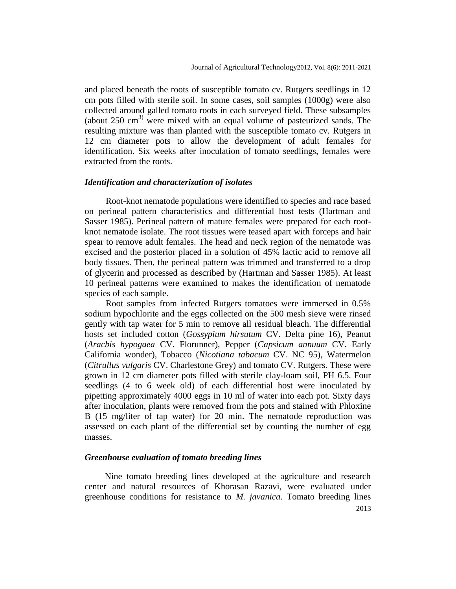and placed beneath the roots of susceptible tomato cv. Rutgers seedlings in 12 cm pots filled with sterile soil. In some cases, soil samples (1000g) were also collected around galled tomato roots in each surveyed field. These subsamples (about 250 cm<sup>3)</sup> were mixed with an equal volume of pasteurized sands. The resulting mixture was than planted with the susceptible tomato cv. Rutgers in 12 cm diameter pots to allow the development of adult females for identification. Six weeks after inoculation of tomato seedlings, females were extracted from the roots.

### *Identification and characterization of isolates*

Root-knot nematode populations were identified to species and race based on perineal pattern characteristics and differential host tests (Hartman and Sasser 1985). Perineal pattern of mature females were prepared for each rootknot nematode isolate. The root tissues were teased apart with forceps and hair spear to remove adult females. The head and neck region of the nematode was excised and the posterior placed in a solution of 45% lactic acid to remove all body tissues. Then, the perineal pattern was trimmed and transferred to a drop of glycerin and processed as described by (Hartman and Sasser 1985). At least 10 perineal patterns were examined to makes the identification of nematode species of each sample.

Root samples from infected Rutgers tomatoes were immersed in 0.5% sodium hypochlorite and the eggs collected on the 500 mesh sieve were rinsed gently with tap water for 5 min to remove all residual bleach. The differential hosts set included cotton (*Gossypium hirsutum* CV. Delta pine 16), Peanut (*Aracbis hypogaea* CV. Florunner), Pepper (*Capsicum annuum* CV. Early California wonder), Tobacco (*Nicotiana tabacum* CV. NC 95), Watermelon (*Citrullus vulgaris* CV. Charlestone Grey) and tomato CV. Rutgers. These were grown in 12 cm diameter pots filled with sterile clay-loam soil, PH 6.5. Four seedlings (4 to 6 week old) of each differential host were inoculated by pipetting approximately 4000 eggs in 10 ml of water into each pot. Sixty days after inoculation, plants were removed from the pots and stained with Phloxine B (15 mg/liter of tap water) for 20 min. The nematode reproduction was assessed on each plant of the differential set by counting the number of egg masses.

## *Greenhouse evaluation of tomato breeding lines*

2013 Nine tomato breeding lines developed at the agriculture and research center and natural resources of Khorasan Razavi, were evaluated under greenhouse conditions for resistance to *M. javanica*. Tomato breeding lines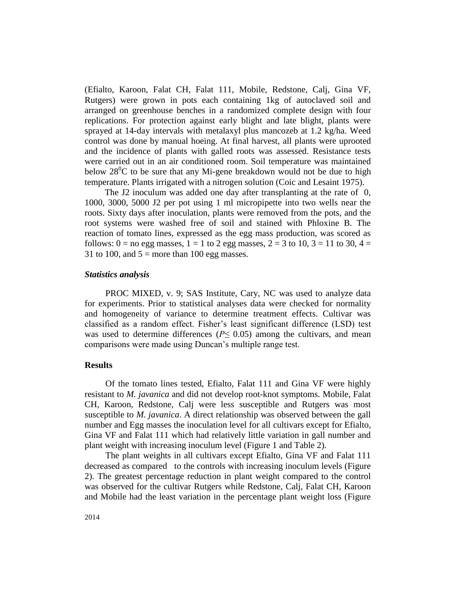(Efialto, Karoon, Falat CH, Falat 111, Mobile, Redstone, Calj, Gina VF, Rutgers) were grown in pots each containing 1kg of autoclaved soil and arranged on greenhouse benches in a randomized complete design with four replications. For protection against early blight and late blight, plants were sprayed at 14-day intervals with metalaxyl plus mancozeb at 1.2 kg/ha. Weed control was done by manual hoeing. At final harvest, all plants were uprooted and the incidence of plants with galled roots was assessed. Resistance tests were carried out in an air conditioned room. Soil temperature was maintained below  $28^0C$  to be sure that any Mi-gene breakdown would not be due to high temperature. Plants irrigated with a nitrogen solution (Coic and Lesaint 1975).

The J2 inoculum was added one day after transplanting at the rate of 0, 1000, 3000, 5000 J2 per pot using 1 ml micropipette into two wells near the roots. Sixty days after inoculation, plants were removed from the pots, and the root systems were washed free of soil and stained with Phloxine B. The reaction of tomato lines, expressed as the egg mass production, was scored as follows:  $0 =$  no egg masses,  $1 = 1$  to 2 egg masses,  $2 = 3$  to 10,  $3 = 11$  to 30,  $4 =$ 31 to 100, and  $5 =$  more than 100 egg masses.

### *Statistics analysis*

PROC MIXED, v. 9; SAS Institute, Cary, NC was used to analyze data for experiments. Prior to statistical analyses data were checked for normality and homogeneity of variance to determine treatment effects. Cultivar was classified as a random effect. Fisher's least significant difference (LSD) test was used to determine differences ( $P \leq 0.05$ ) among the cultivars, and mean comparisons were made using Duncan's multiple range test.

### **Results**

Of the tomato lines tested, Efialto, Falat 111 and Gina VF were highly resistant to *M. javanica* and did not develop root-knot symptoms. Mobile, Falat CH, Karoon, Redstone, Calj were less susceptible and Rutgers was most susceptible to *M. javanica*. A direct relationship was observed between the gall number and Egg masses the inoculation level for all cultivars except for Efialto, Gina VF and Falat 111 which had relatively little variation in gall number and plant weight with increasing inoculum level (Figure 1 and Table 2).

The plant weights in all cultivars except Efialto, Gina VF and Falat 111 decreased as compared to the controls with increasing inoculum levels (Figure 2). The greatest percentage reduction in plant weight compared to the control was observed for the cultivar Rutgers while Redstone, Calj, Falat CH, Karoon and Mobile had the least variation in the percentage plant weight loss (Figure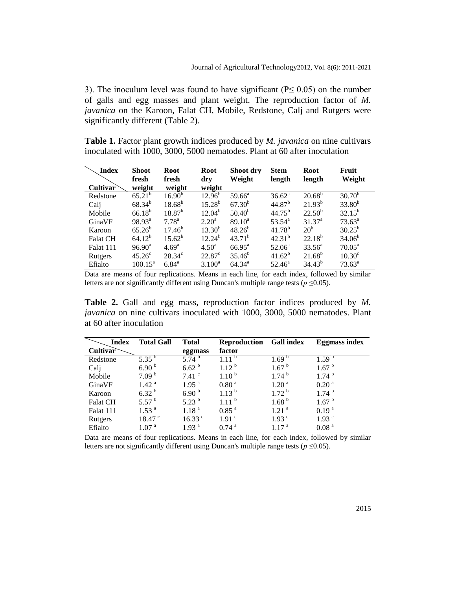3). The inoculum level was found to have significant ( $P \le 0.05$ ) on the number of galls and egg masses and plant weight. The reproduction factor of *M. javanica* on the Karoon, Falat CH, Mobile, Redstone, Calj and Rutgers were significantly different (Table 2).

**Table 1.** Factor plant growth indices produced by *M. javanica* on nine cultivars inoculated with 1000, 3000, 5000 nematodes. Plant at 60 after inoculation

| <b>Index</b>    | <b>Shoot</b>       | Root               | <b>Root</b>     | Shoot dry          | <b>Stem</b>        | <b>Root</b>     | Fruit              |
|-----------------|--------------------|--------------------|-----------------|--------------------|--------------------|-----------------|--------------------|
|                 | fresh              | fresh              | dry             | Weight             | length             | length          | Weight             |
| Cultivar        | weight             | weight             | weight          |                    |                    |                 |                    |
| Redstone        | $65.21^{b}$        | 16.90 <sup>b</sup> | $12.96^{\rm b}$ | $59.66^{\circ}$    | $36.62^a$          | $20.68^{\rm b}$ | $30.70^{b}$        |
| Cali            | $68.34^{b}$        | $18.68^{b}$        | $15.28^{b}$     | $67.30^{b}$        | 44.87 <sup>b</sup> | $21.93^{b}$     | $33.80^{b}$        |
| Mobile          | $66.18^{b}$        | $18.87^{b}$        | $12.04^{b}$     | $50.40^{b}$        | $44.75^{\rm b}$    | $22.50^b$       | $32.15^{b}$        |
| GinaVF          | $98.93^{\text{a}}$ | $7.78^{a}$         | $2.20^{\circ}$  | $89.10^a$          | $53.54^{\circ}$    | $31.37^{\circ}$ | $73.63^a$          |
| Karoon          | $65.26^b$          | $17.46^{b}$        | $13.30^{b}$     | $48.26^{b}$        | $41.78^{b}$        | 20 <sup>b</sup> | $30.25^{b}$        |
| <b>Falat CH</b> | $64.12^{b}$        | $15.62^b$          | $12.24^{b}$     | $43.71^b$          | $42.31^{b}$        | $22.18^{b}$     | $34.06^{b}$        |
| Falat 111       | $96.90^{\text{a}}$ | 4.69 <sup>a</sup>  | $4.50^{\rm a}$  | $66.95^{\text{a}}$ | $52.06^a$          | $33.56^{\circ}$ | $70.05^{\text{a}}$ |
| Rutgers         | $45.26^{\circ}$    | $28.34^{\circ}$    | $22.87^{\circ}$ | $35.46^{b}$        | $41.62^b$          | $21.68^{b}$     | 10.30 <sup>c</sup> |
| Efialto         | $100.15^a$         | $6.84^{\circ}$     | $3.100^a$       | $64.34^{\circ}$    | $52.46^{\circ}$    | $34.43^{b}$     | $73.63^{\circ}$    |

Data are means of four replications. Means in each line, for each index, followed by similar letters are not significantly different using Duncan's multiple range tests (*p ≤*0.05).

**Table 2.** Gall and egg mass, reproduction factor indices produced by *M. javanica* on nine cultivars inoculated with 1000, 3000, 5000 nematodes. Plant at 60 after inoculation

| <b>Index</b>    | <b>Total Gall</b>  | <b>Total</b>      | <b>Reproduction</b> | <b>Gall index</b>   | <b>Eggmass index</b> |
|-----------------|--------------------|-------------------|---------------------|---------------------|----------------------|
| Cultivar        |                    | eggmass           | factor              |                     |                      |
| Redstone        | $5.35^{b}$         | 5.74 $^{\rm b}$   | $111^{b}$           | 1.69 <sup>b</sup>   | 1.59 <sup>b</sup>    |
| Calj            | 6.90 <sup>b</sup>  | 6.62 <sup>b</sup> | $1.12^{b}$          | 1.67 <sup>b</sup>   | 1.67 <sup>b</sup>    |
| Mobile          | 7.09 <sup>b</sup>  | $7.41$ $\degree$  | 1.10 <sup>b</sup>   | 1.74 <sup>b</sup>   | 1.74 <sup>b</sup>    |
| GinaVF          | 1.42 <sup>a</sup>  | 1.95 <sup>a</sup> | 0.80 <sup>a</sup>   | 1.20 <sup>a</sup>   | 0.20 <sup>a</sup>    |
| Karoon          | $6.32^{b}$         | 6.90 <sup>b</sup> | 1.13 <sup>b</sup>   | 1.72 <sup>b</sup>   | 1.74 <sup>b</sup>    |
| <b>Falat CH</b> | 5.57 <sup>b</sup>  | 5.23 $^{\rm b}$   | 1.11 <sup>b</sup>   | 1.68 <sup>b</sup>   | 1.67 <sup>b</sup>    |
| Falat 111       | 1.53 <sup>a</sup>  | 1.18 <sup>a</sup> | $0.85$ <sup>a</sup> | $1.21$ <sup>a</sup> | 0.19 <sup>a</sup>    |
| Rutgers         | 18.47 <sup>c</sup> | $16.33$ $\degree$ | 1.91 <sup>c</sup>   | 1.93 <sup>c</sup>   | 1.93 <sup>c</sup>    |
| Efialto         | 1.07 <sup>a</sup>  | 1.93 <sup>a</sup> | $0.74$ <sup>a</sup> | 1.17 <sup>a</sup>   | 0.08 <sup>a</sup>    |

Data are means of four replications. Means in each line, for each index, followed by similar letters are not significantly different using Duncan's multiple range tests (*p ≤*0.05).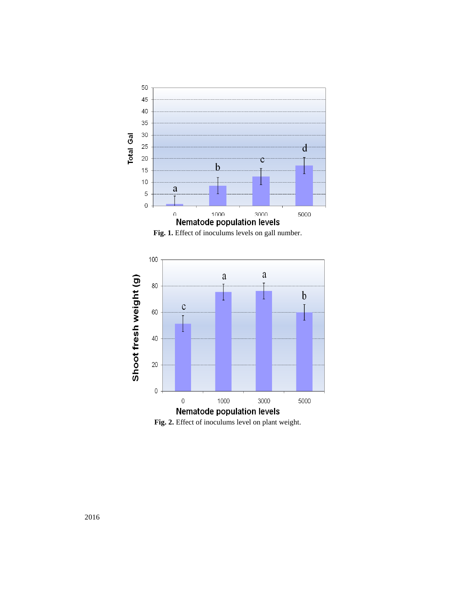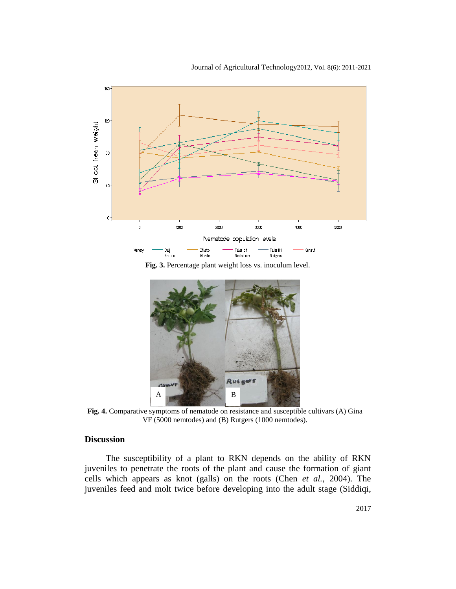

**Fig. 3.** Percentage plant weight loss vs. inoculum level.



**Fig. 4.** Comparative symptoms of nematode on resistance and susceptible cultivars (A) Gina VF (5000 nemtodes) and (B) Rutgers (1000 nemtodes).

## **Discussion**

The susceptibility of a plant to RKN depends on the ability of RKN juveniles to penetrate the roots of the plant and cause the formation of giant cells which appears as knot (galls) on the roots (Chen *et al.,* 2004). The juveniles feed and molt twice before developing into the adult stage (Siddiqi,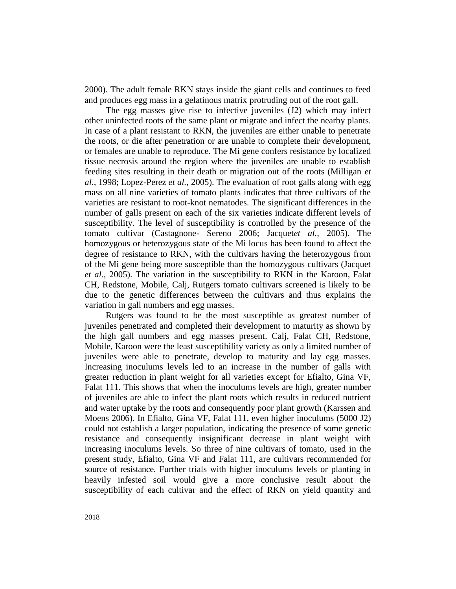2000). The adult female RKN stays inside the giant cells and continues to feed and produces egg mass in a gelatinous matrix protruding out of the root gall.

The egg masses give rise to infective juveniles (J2) which may infect other uninfected roots of the same plant or migrate and infect the nearby plants. In case of a plant resistant to RKN, the juveniles are either unable to penetrate the roots, or die after penetration or are unable to complete their development, or females are unable to reproduce. The Mi gene confers resistance by localized tissue necrosis around the region where the juveniles are unable to establish feeding sites resulting in their death or migration out of the roots (Milligan *et al.,* 1998; Lopez-Perez *et al.,* 2005). The evaluation of root galls along with egg mass on all nine varieties of tomato plants indicates that three cultivars of the varieties are resistant to root-knot nematodes. The significant differences in the number of galls present on each of the six varieties indicate different levels of susceptibility. The level of susceptibility is controlled by the presence of the tomato cultivar (Castagnone- Sereno 2006; Jacquet*et al.,* 2005). The homozygous or heterozygous state of the Mi locus has been found to affect the degree of resistance to RKN, with the cultivars having the heterozygous from of the Mi gene being more susceptible than the homozygous cultivars (Jacquet *et al.,* 2005). The variation in the susceptibility to RKN in the Karoon, Falat CH, Redstone, Mobile, Calj, Rutgers tomato cultivars screened is likely to be due to the genetic differences between the cultivars and thus explains the variation in gall numbers and egg masses.

Rutgers was found to be the most susceptible as greatest number of juveniles penetrated and completed their development to maturity as shown by the high gall numbers and egg masses present. Calj, Falat CH, Redstone, Mobile, Karoon were the least susceptibility variety as only a limited number of juveniles were able to penetrate, develop to maturity and lay egg masses. Increasing inoculums levels led to an increase in the number of galls with greater reduction in plant weight for all varieties except for Efialto, Gina VF, Falat 111. This shows that when the inoculums levels are high, greater number of juveniles are able to infect the plant roots which results in reduced nutrient and water uptake by the roots and consequently poor plant growth (Karssen and Moens 2006). In Efialto, Gina VF, Falat 111, even higher inoculums (5000 J2) could not establish a larger population, indicating the presence of some genetic resistance and consequently insignificant decrease in plant weight with increasing inoculums levels. So three of nine cultivars of tomato, used in the present study, Efialto, Gina VF and Falat 111, are cultivars recommended for source of resistance. Further trials with higher inoculums levels or planting in heavily infested soil would give a more conclusive result about the susceptibility of each cultivar and the effect of RKN on yield quantity and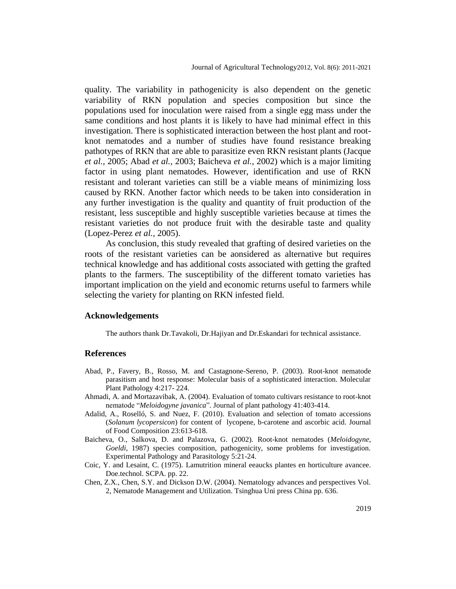quality. The variability in pathogenicity is also dependent on the genetic variability of RKN population and species composition but since the populations used for inoculation were raised from a single egg mass under the same conditions and host plants it is likely to have had minimal effect in this investigation. There is sophisticated interaction between the host plant and rootknot nematodes and a number of studies have found resistance breaking pathotypes of RKN that are able to parasitize even RKN resistant plants (Jacque *et al.,* 2005; Abad *et al.,* 2003; Baicheva *et al.,* 2002) which is a major limiting factor in using plant nematodes. However, identification and use of RKN resistant and tolerant varieties can still be a viable means of minimizing loss caused by RKN. Another factor which needs to be taken into consideration in any further investigation is the quality and quantity of fruit production of the resistant, less susceptible and highly susceptible varieties because at times the resistant varieties do not produce fruit with the desirable taste and quality (Lopez-Perez *et al.,* 2005).

As conclusion, this study revealed that grafting of desired varieties on the roots of the resistant varieties can be aonsidered as alternative but requires technical knowledge and has additional costs associated with getting the grafted plants to the farmers. The susceptibility of the different tomato varieties has important implication on the yield and economic returns useful to farmers while selecting the variety for planting on RKN infested field.

#### **Acknowledgements**

The authors thank Dr.Tavakoli, Dr.Hajiyan and Dr.Eskandari for technical assistance.

#### **References**

- Abad, P., Favery, B., Rosso, M. and Castagnone-Sereno, P. (2003). Root-knot nematode parasitism and host response: Molecular basis of a sophisticated interaction. Molecular Plant Pathology 4:217- 224.
- Ahmadi, A. and Mortazavibak, A. (2004). Evaluation of tomato cultivars resistance to root-knot nematode "*Meloidogyne javanica*". Journal of plant pathology 41:403-414.
- Adalid, A., Roselló, S. and Nuez, F. (2010). Evaluation and selection of tomato accessions (*Solanum lycopersicon*) for content of lycopene, b-carotene and ascorbic acid. Journal of Food Composition 23:613-618.
- Baicheva, O., Salkova, D. and Palazova, G. (2002). Root-knot nematodes (*Meloidogyne, Goeldi*, 1987) species composition, pathogenicity, some problems for investigation. Experimental Pathology and Parasitology 5:21-24.
- Coic, Y. and Lesaint, C. (1975). Lamutrition mineral eeaucks plantes en horticulture avancee. Doe.technol. SCPA. pp. 22.
- Chen, Z.X., Chen, S.Y. and Dickson D.W. (2004). Nematology advances and perspectives Vol. 2, Nematode Management and Utilization. Tsinghua Uni press China pp. 636.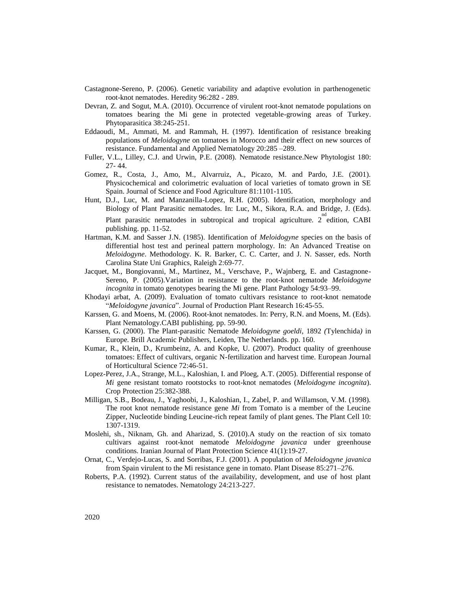- Castagnone-Sereno, P. (2006). Genetic variability and adaptive evolution in parthenogenetic root-knot nematodes. Heredity 96:282 - 289.
- Devran, Z. and Sogut, M.A. (2010). Occurrence of virulent root-knot nematode populations on tomatoes bearing the Mi gene in protected vegetable-growing areas of Turkey. Phytoparasitica 38:245-251.
- Eddaoudi, M., Ammati, M. and Rammah, H. (1997). Identification of resistance breaking populations of *Meloidogyne* on tomatoes in Morocco and their effect on new sources of resistance. Fundamental and Applied Nematology 20:285 –289.
- Fuller, V.L., Lilley, C.J. and Urwin, P.E. (2008). Nematode resistance.New Phytologist 180: 27- 44.
- Gomez, R., Costa, J., Amo, M., Alvarruiz, A., Picazo, M. and Pardo, J.E. (2001). Physicochemical and colorimetric evaluation of local varieties of tomato grown in SE Spain. Journal of Science and Food Agriculture 81:1101-1105.
- Hunt, D.J., Luc, M. and Manzanilla-Lopez, R.H. (2005). Identification, morphology and Biology of Plant Parasitic nematodes. In: Luc, M., Sikora, R.A. and Bridge, J. (Eds). Plant parasitic nematodes in subtropical and tropical agriculture. 2<sup>nd</sup> edition, CABI publishing. pp. 11-52.
- Hartman, K.M. and Sasser J.N. (1985). Identification of *Meloidogyne* species on the basis of differential host test and perineal pattern morphology. In: An Advanced Treatise on *Meloidogyne*. Methodology. K. R. Barker, C. C. Carter, and J. N. Sasser, eds. North Carolina State Uni Graphics, Raleigh 2:69-77.
- Jacquet, M., Bongiovanni, M., Martinez, M., Verschave, P., Wajnberg, E. and Castagnone-Sereno, P. (2005).Variation in resistance to the root-knot nematode *Meloidogyne incognita* in tomato genotypes bearing the Mi gene. Plant Pathology 54:93–99.
- Khodayi arbat, A. (2009). Evaluation of tomato cultivars resistance to root-knot nematode "*Meloidogyne javanica*". Journal of Production Plant Research 16:45-55.
- Karssen, G. and Moens, M. (2006). Root-knot nematodes. In: Perry, R.N. and Moens, M. (Eds). Plant Nematology.CABI publishing. pp. 59-90.
- Karssen, G. (2000). The Plant-parasitic Nematode *Meloidogyne goeldi,* 1892 *(*Tylenchida*)* in Europe*.* Brill Academic Publishers, Leiden, The Netherlands. pp. 160.
- Kumar, R., Klein, D., Krumbeinz, A. and Kopke, U. (2007). Product quality of greenhouse tomatoes: Effect of cultivars, organic N-fertilization and harvest time. European Journal of Horticultural Science 72:46-51.
- Lopez-Perez, J.A., Strange, M.L., Kaloshian, I. and Ploeg, A.T. (2005). Differential response of *Mi* gene resistant tomato rootstocks to root-knot nematodes (*Meloidogyne incognita*). Crop Protection 25:382-388.
- Milligan, S.B., Bodeau, J., Yaghoobi, J., Kaloshian, I., Zabel, P. and Willamson, V.M. (1998). The root knot nematode resistance gene *Mi* from Tomato is a member of the Leucine Zipper, Nucleotide binding Leucine-rich repeat family of plant genes. The Plant Cell 10: 1307-1319.
- Moslehi, sh., Niknam, Gh. and Aharizad, S. (2010).A study on the reaction of six tomato cultivars against root-knot nematode *Meloidogyne javanica* under greenhouse conditions. Iranian Journal of Plant Protection Science 41(1):19-27.
- Ornat, C., Verdejo-Lucas, S. and Sorribas, F.J. (2001). A population of *Meloidogyne javanica* from Spain virulent to the Mi resistance gene in tomato. Plant Disease 85:271–276.
- Roberts, P.A. (1992). Current status of the availability, development, and use of host plant resistance to nematodes. Nematology 24:213-227.